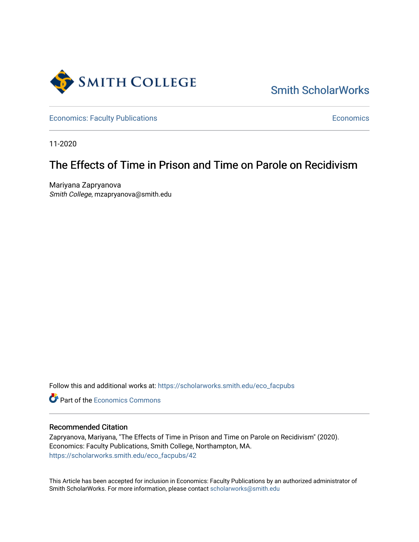

# [Smith ScholarWorks](https://scholarworks.smith.edu/)

[Economics: Faculty Publications](https://scholarworks.smith.edu/eco_facpubs) **Economics** [Economics](https://scholarworks.smith.edu/eco) **Economics** 

11-2020

# The Effects of Time in Prison and Time on Parole on Recidivism

Mariyana Zapryanova Smith College, mzapryanova@smith.edu

Follow this and additional works at: [https://scholarworks.smith.edu/eco\\_facpubs](https://scholarworks.smith.edu/eco_facpubs?utm_source=scholarworks.smith.edu%2Feco_facpubs%2F42&utm_medium=PDF&utm_campaign=PDFCoverPages) 

**C** Part of the [Economics Commons](http://network.bepress.com/hgg/discipline/340?utm_source=scholarworks.smith.edu%2Feco_facpubs%2F42&utm_medium=PDF&utm_campaign=PDFCoverPages)

# Recommended Citation

Zapryanova, Mariyana, "The Effects of Time in Prison and Time on Parole on Recidivism" (2020). Economics: Faculty Publications, Smith College, Northampton, MA. [https://scholarworks.smith.edu/eco\\_facpubs/42](https://scholarworks.smith.edu/eco_facpubs/42?utm_source=scholarworks.smith.edu%2Feco_facpubs%2F42&utm_medium=PDF&utm_campaign=PDFCoverPages)

This Article has been accepted for inclusion in Economics: Faculty Publications by an authorized administrator of Smith ScholarWorks. For more information, please contact [scholarworks@smith.edu](mailto:scholarworks@smith.edu)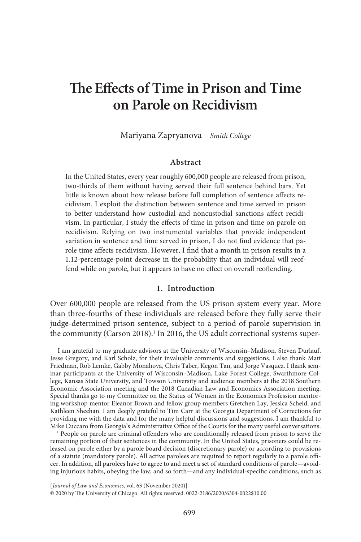# **The Effects of Time in Prison and Time on Parole on Recidivism**

Mariyana Zapryanova *Smith College*

# **Abstract**

In the United States, every year roughly 600,000 people are released from prison, two-thirds of them without having served their full sentence behind bars. Yet little is known about how release before full completion of sentence affects recidivism. I exploit the distinction between sentence and time served in prison to better understand how custodial and noncustodial sanctions affect recidivism. In particular, I study the effects of time in prison and time on parole on recidivism. Relying on two instrumental variables that provide independent variation in sentence and time served in prison, I do not find evidence that parole time affects recidivism. However, I find that a month in prison results in a 1.12-percentage-point decrease in the probability that an individual will reoffend while on parole, but it appears to have no effect on overall reoffending.

## **1. Introduction**

Over 600,000 people are released from the US prison system every year. More than three-fourths of these individuals are released before they fully serve their judge-determined prison sentence, subject to a period of parole supervision in the community (Carson 2018).<sup>1</sup> In 2016, the US adult correctional systems super-

I am grateful to my graduate advisors at the University of Wisconsin–Madison, Steven Durlauf, Jesse Gregory, and Karl Scholz, for their invaluable comments and suggestions. I also thank Matt Friedman, Rob Lemke, Gabby Monahova, Chris Taber, Kegon Tan, and Jorge Vasquez. I thank seminar participants at the University of Wisconsin–Madison, Lake Forest College, Swarthmore College, Kansas State University, and Towson University and audience members at the 2018 Southern Economic Association meeting and the 2018 Canadian Law and Economics Association meeting. Special thanks go to my Committee on the Status of Women in the Economics Profession mentoring workshop mentor Eleanor Brown and fellow group members Gretchen Lay, Jessica Scheld, and Kathleen Sheehan. I am deeply grateful to Tim Carr at the Georgia Department of Corrections for providing me with the data and for the many helpful discussions and suggestions. I am thankful to Mike Cuccaro from Georgia's Administrative Office of the Courts for the many useful conversations.

<sup>1</sup> People on parole are criminal offenders who are conditionally released from prison to serve the remaining portion of their sentences in the community. In the United States, prisoners could be released on parole either by a parole board decision (discretionary parole) or according to provisions of a statute (mandatory parole). All active parolees are required to report regularly to a parole officer. In addition, all parolees have to agree to and meet a set of standard conditions of parole—avoiding injurious habits, obeying the law, and so forth—and any individual-specific conditions, such as

[ *Journal of Law and Economics,* vol. 63 (November 2020)] © 2020 by The University of Chicago. All rights reserved. 0022-2186/2020/6304-0022\$10.00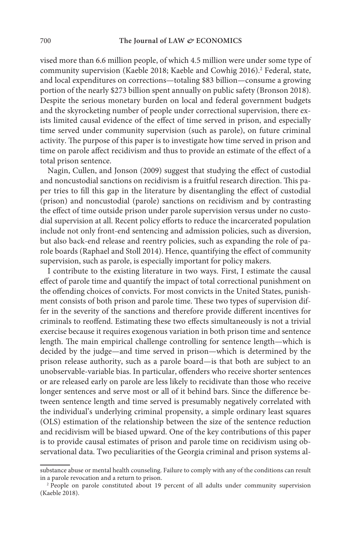vised more than 6.6 million people, of which 4.5 million were under some type of community supervision (Kaeble 2018; Kaeble and Cowhig 2016).<sup>2</sup> Federal, state, and local expenditures on corrections—totaling \$83 billion—consume a growing portion of the nearly \$273 billion spent annually on public safety (Bronson 2018). Despite the serious monetary burden on local and federal government budgets and the skyrocketing number of people under correctional supervision, there exists limited causal evidence of the effect of time served in prison, and especially time served under community supervision (such as parole), on future criminal activity. The purpose of this paper is to investigate how time served in prison and time on parole affect recidivism and thus to provide an estimate of the effect of a total prison sentence.

Nagin, Cullen, and Jonson (2009) suggest that studying the effect of custodial and noncustodial sanctions on recidivism is a fruitful research direction. This paper tries to fill this gap in the literature by disentangling the effect of custodial (prison) and noncustodial (parole) sanctions on recidivism and by contrasting the effect of time outside prison under parole supervision versus under no custodial supervision at all. Recent policy efforts to reduce the incarcerated population include not only front-end sentencing and admission policies, such as diversion, but also back-end release and reentry policies, such as expanding the role of parole boards (Raphael and Stoll 2014). Hence, quantifying the effect of community supervision, such as parole, is especially important for policy makers.

I contribute to the existing literature in two ways. First, I estimate the causal effect of parole time and quantify the impact of total correctional punishment on the offending choices of convicts. For most convicts in the United States, punishment consists of both prison and parole time. These two types of supervision differ in the severity of the sanctions and therefore provide different incentives for criminals to reoffend. Estimating these two effects simultaneously is not a trivial exercise because it requires exogenous variation in both prison time and sentence length. The main empirical challenge controlling for sentence length—which is decided by the judge—and time served in prison—which is determined by the prison release authority, such as a parole board—is that both are subject to an unobservable-variable bias. In particular, offenders who receive shorter sentences or are released early on parole are less likely to recidivate than those who receive longer sentences and serve most or all of it behind bars. Since the difference between sentence length and time served is presumably negatively correlated with the individual's underlying criminal propensity, a simple ordinary least squares (OLS) estimation of the relationship between the size of the sentence reduction and recidivism will be biased upward. One of the key contributions of this paper is to provide causal estimates of prison and parole time on recidivism using observational data. Two peculiarities of the Georgia criminal and prison systems al-

substance abuse or mental health counseling. Failure to comply with any of the conditions can result in a parole revocation and a return to prison.

<sup>&</sup>lt;sup>2</sup> People on parole constituted about 19 percent of all adults under community supervision (Kaeble 2018).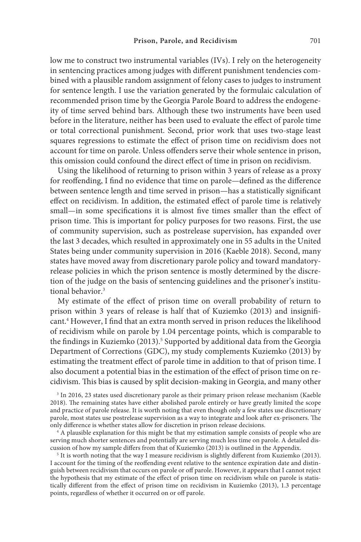low me to construct two instrumental variables (IVs). I rely on the heterogeneity in sentencing practices among judges with different punishment tendencies combined with a plausible random assignment of felony cases to judges to instrument for sentence length. I use the variation generated by the formulaic calculation of recommended prison time by the Georgia Parole Board to address the endogeneity of time served behind bars. Although these two instruments have been used before in the literature, neither has been used to evaluate the effect of parole time or total correctional punishment. Second, prior work that uses two-stage least squares regressions to estimate the effect of prison time on recidivism does not account for time on parole. Unless offenders serve their whole sentence in prison, this omission could confound the direct effect of time in prison on recidivism.

Using the likelihood of returning to prison within 3 years of release as a proxy for reoffending, I find no evidence that time on parole—defined as the difference between sentence length and time served in prison—has a statistically significant effect on recidivism. In addition, the estimated effect of parole time is relatively small—in some specifications it is almost five times smaller than the effect of prison time. This is important for policy purposes for two reasons. First, the use of community supervision, such as postrelease supervision, has expanded over the last 3 decades, which resulted in approximately one in 55 adults in the United States being under community supervision in 2016 (Kaeble 2018). Second, many states have moved away from discretionary parole policy and toward mandatoryrelease policies in which the prison sentence is mostly determined by the discretion of the judge on the basis of sentencing guidelines and the prisoner's institutional behavior.<sup>3</sup>

My estimate of the effect of prison time on overall probability of return to prison within 3 years of release is half that of Kuziemko (2013) and insignificant.<sup>4</sup> However, I find that an extra month served in prison reduces the likelihood of recidivism while on parole by 1.04 percentage points, which is comparable to the findings in Kuziemko (2013).<sup>5</sup> Supported by additional data from the Georgia Department of Corrections (GDC), my study complements Kuziemko (2013) by estimating the treatment effect of parole time in addition to that of prison time. I also document a potential bias in the estimation of the effect of prison time on recidivism. This bias is caused by split decision-making in Georgia, and many other

<sup>3</sup> In 2016, 23 states used discretionary parole as their primary prison release mechanism (Kaeble 2018). The remaining states have either abolished parole entirely or have greatly limited the scope and practice of parole release. It is worth noting that even though only a few states use discretionary parole, most states use postrelease supervision as a way to integrate and look after ex-prisoners. The only difference is whether states allow for discretion in prison release decisions.

 $4$ <sup> $\overline{4}$ </sup> A plausible explanation for this might be that my estimation sample consists of people who are serving much shorter sentences and potentially are serving much less time on parole. A detailed discussion of how my sample differs from that of Kuziemko (2013) is outlined in the Appendix.

<sup>5</sup> It is worth noting that the way I measure recidivism is slightly different from Kuziemko (2013). I account for the timing of the reoffending event relative to the sentence expiration date and distinguish between recidivism that occurs on parole or off parole. However, it appears that I cannot reject the hypothesis that my estimate of the effect of prison time on recidivism while on parole is statistically different from the effect of prison time on recidivism in Kuziemko (2013), 1.3 percentage points, regardless of whether it occurred on or off parole.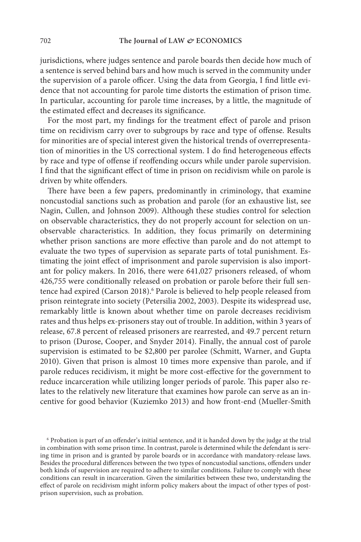jurisdictions, where judges sentence and parole boards then decide how much of a sentence is served behind bars and how much is served in the community under the supervision of a parole officer. Using the data from Georgia, I find little evidence that not accounting for parole time distorts the estimation of prison time. In particular, accounting for parole time increases, by a little, the magnitude of the estimated effect and decreases its significance.

For the most part, my findings for the treatment effect of parole and prison time on recidivism carry over to subgroups by race and type of offense. Results for minorities are of special interest given the historical trends of overrepresentation of minorities in the US correctional system. I do find heterogeneous effects by race and type of offense if reoffending occurs while under parole supervision. I find that the significant effect of time in prison on recidivism while on parole is driven by white offenders.

There have been a few papers, predominantly in criminology, that examine noncustodial sanctions such as probation and parole (for an exhaustive list, see Nagin, Cullen, and Johnson 2009). Although these studies control for selection on observable characteristics, they do not properly account for selection on unobservable characteristics. In addition, they focus primarily on determining whether prison sanctions are more effective than parole and do not attempt to evaluate the two types of supervision as separate parts of total punishment. Estimating the joint effect of imprisonment and parole supervision is also important for policy makers. In 2016, there were 641,027 prisoners released, of whom 426,755 were conditionally released on probation or parole before their full sentence had expired (Carson 2018).<sup>6</sup> Parole is believed to help people released from prison reintegrate into society (Petersilia 2002, 2003). Despite its widespread use, remarkably little is known about whether time on parole decreases recidivism rates and thus helps ex-prisoners stay out of trouble. In addition, within 3 years of release, 67.8 percent of released prisoners are rearrested, and 49.7 percent return to prison (Durose, Cooper, and Snyder 2014). Finally, the annual cost of parole supervision is estimated to be \$2,800 per parolee (Schmitt, Warner, and Gupta 2010). Given that prison is almost 10 times more expensive than parole, and if parole reduces recidivism, it might be more cost-effective for the government to reduce incarceration while utilizing longer periods of parole. This paper also relates to the relatively new literature that examines how parole can serve as an incentive for good behavior (Kuziemko 2013) and how front-end (Mueller-Smith

<sup>6</sup> Probation is part of an offender's initial sentence, and it is handed down by the judge at the trial in combination with some prison time. In contrast, parole is determined while the defendant is serving time in prison and is granted by parole boards or in accordance with mandatory-release laws. Besides the procedural differences between the two types of noncustodial sanctions, offenders under both kinds of supervision are required to adhere to similar conditions. Failure to comply with these conditions can result in incarceration. Given the similarities between these two, understanding the effect of parole on recidivism might inform policy makers about the impact of other types of postprison supervision, such as probation.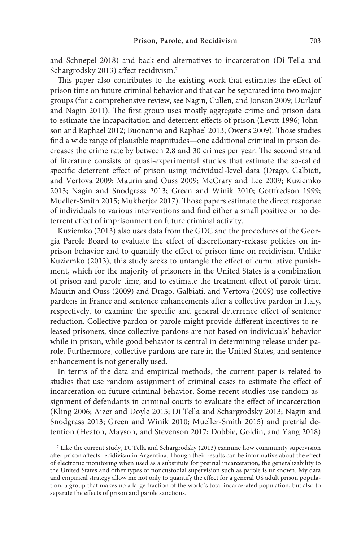and Schnepel 2018) and back-end alternatives to incarceration (Di Tella and Schargrodsky 2013) affect recidivism.<sup>7</sup>

This paper also contributes to the existing work that estimates the effect of prison time on future criminal behavior and that can be separated into two major groups (for a comprehensive review, see Nagin, Cullen, and Jonson 2009; Durlauf and Nagin 2011). The first group uses mostly aggregate crime and prison data to estimate the incapacitation and deterrent effects of prison (Levitt 1996; Johnson and Raphael 2012; Buonanno and Raphael 2013; Owens 2009). Those studies find a wide range of plausible magnitudes—one additional criminal in prison decreases the crime rate by between 2.8 and 30 crimes per year. The second strand of literature consists of quasi-experimental studies that estimate the so-called specific deterrent effect of prison using individual-level data (Drago, Galbiati, and Vertova 2009; Maurin and Ouss 2009; McCrary and Lee 2009; Kuziemko 2013; Nagin and Snodgrass 2013; Green and Winik 2010; Gottfredson 1999; Mueller-Smith 2015; Mukherjee 2017). Those papers estimate the direct response of individuals to various interventions and find either a small positive or no deterrent effect of imprisonment on future criminal activity.

Kuziemko (2013) also uses data from the GDC and the procedures of the Georgia Parole Board to evaluate the effect of discretionary-release policies on inprison behavior and to quantify the effect of prison time on recidivism. Unlike Kuziemko (2013), this study seeks to untangle the effect of cumulative punishment, which for the majority of prisoners in the United States is a combination of prison and parole time, and to estimate the treatment effect of parole time. Maurin and Ouss (2009) and Drago, Galbiati, and Vertova (2009) use collective pardons in France and sentence enhancements after a collective pardon in Italy, respectively, to examine the specific and general deterrence effect of sentence reduction. Collective pardon or parole might provide different incentives to released prisoners, since collective pardons are not based on individuals' behavior while in prison, while good behavior is central in determining release under parole. Furthermore, collective pardons are rare in the United States, and sentence enhancement is not generally used.

In terms of the data and empirical methods, the current paper is related to studies that use random assignment of criminal cases to estimate the effect of incarceration on future criminal behavior. Some recent studies use random assignment of defendants in criminal courts to evaluate the effect of incarceration (Kling 2006; Aizer and Doyle 2015; Di Tella and Schargrodsky 2013; Nagin and Snodgrass 2013; Green and Winik 2010; Mueller-Smith 2015) and pretrial detention (Heaton, Mayson, and Stevenson 2017; Dobbie, Goldin, and Yang 2018)

<sup>7</sup> Like the current study, Di Tella and Schargrodsky (2013) examine how community supervision after prison affects recidivism in Argentina. Though their results can be informative about the effect of electronic monitoring when used as a substitute for pretrial incarceration, the generalizability to the United States and other types of noncustodial supervision such as parole is unknown. My data and empirical strategy allow me not only to quantify the effect for a general US adult prison population, a group that makes up a large fraction of the world's total incarcerated population, but also to separate the effects of prison and parole sanctions.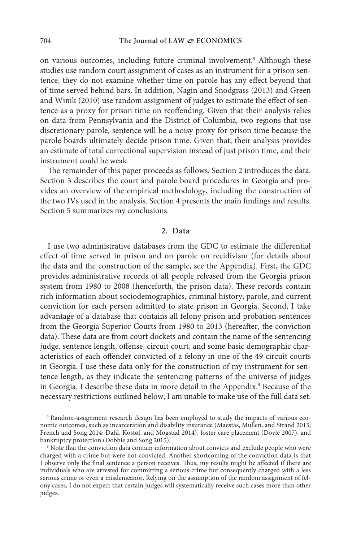on various outcomes, including future criminal involvement.<sup>8</sup> Although these studies use random court assignment of cases as an instrument for a prison sentence, they do not examine whether time on parole has any effect beyond that of time served behind bars. In addition, Nagin and Snodgrass (2013) and Green and Winik (2010) use random assignment of judges to estimate the effect of sentence as a proxy for prison time on reoffending. Given that their analysis relies on data from Pennsylvania and the District of Columbia, two regions that use discretionary parole, sentence will be a noisy proxy for prison time because the parole boards ultimately decide prison time. Given that, their analysis provides an estimate of total correctional supervision instead of just prison time, and their instrument could be weak.

The remainder of this paper proceeds as follows. Section 2 introduces the data. Section 3 describes the court and parole board procedures in Georgia and provides an overview of the empirical methodology, including the construction of the two IVs used in the analysis. Section 4 presents the main findings and results. Section 5 summarizes my conclusions.

#### **2. Data**

I use two administrative databases from the GDC to estimate the differential effect of time served in prison and on parole on recidivism (for details about the data and the construction of the sample, see the Appendix). First, the GDC provides administrative records of all people released from the Georgia prison system from 1980 to 2008 (henceforth, the prison data). These records contain rich information about sociodemographics, criminal history, parole, and current conviction for each person admitted to state prison in Georgia. Second, I take advantage of a database that contains all felony prison and probation sentences from the Georgia Superior Courts from 1980 to 2013 (hereafter, the conviction data). These data are from court dockets and contain the name of the sentencing judge, sentence length, offense, circuit court, and some basic demographic characteristics of each offender convicted of a felony in one of the 49 circuit courts in Georgia. I use these data only for the construction of my instrument for sentence length, as they indicate the sentencing patterns of the universe of judges in Georgia. I describe these data in more detail in the Appendix.<sup>9</sup> Because of the necessary restrictions outlined below, I am unable to make use of the full data set.

<sup>8</sup> Random-assignment research design has been employed to study the impacts of various economic outcomes, such as incarceration and disability insurance (Maestas, Mullen, and Strand 2013; French and Song 2014; Dahl, Kostøl, and Mogstad 2014), foster care placement (Doyle 2007), and bankruptcy protection (Dobbie and Song 2015).

<sup>9</sup> Note that the conviction data contain information about convicts and exclude people who were charged with a crime but were not convicted. Another shortcoming of the conviction data is that I observe only the final sentence a person receives. Thus, my results might be affected if there are individuals who are arrested for committing a serious crime but consequently charged with a less serious crime or even a misdemeanor. Relying on the assumption of the random assignment of felony cases, I do not expect that certain judges will systematically receive such cases more than other judges.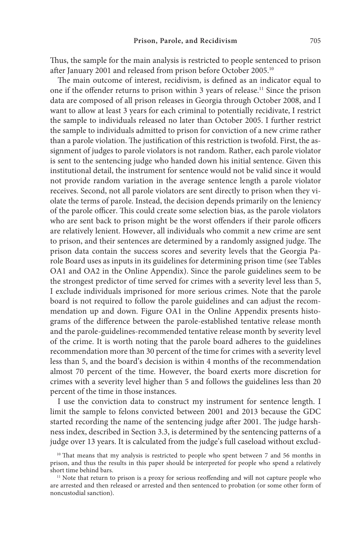Thus, the sample for the main analysis is restricted to people sentenced to prison after January 2001 and released from prison before October 2005.10

The main outcome of interest, recidivism, is defined as an indicator equal to one if the offender returns to prison within 3 years of release.11 Since the prison data are composed of all prison releases in Georgia through October 2008, and I want to allow at least 3 years for each criminal to potentially recidivate, I restrict the sample to individuals released no later than October 2005. I further restrict the sample to individuals admitted to prison for conviction of a new crime rather than a parole violation. The justification of this restriction is twofold. First, the assignment of judges to parole violators is not random. Rather, each parole violator is sent to the sentencing judge who handed down his initial sentence. Given this institutional detail, the instrument for sentence would not be valid since it would not provide random variation in the average sentence length a parole violator receives. Second, not all parole violators are sent directly to prison when they violate the terms of parole. Instead, the decision depends primarily on the leniency of the parole officer. This could create some selection bias, as the parole violators who are sent back to prison might be the worst offenders if their parole officers are relatively lenient. However, all individuals who commit a new crime are sent to prison, and their sentences are determined by a randomly assigned judge. The prison data contain the success scores and severity levels that the Georgia Parole Board uses as inputs in its guidelines for determining prison time (see Tables OA1 and OA2 in the Online Appendix). Since the parole guidelines seem to be the strongest predictor of time served for crimes with a severity level less than 5, I exclude individuals imprisoned for more serious crimes. Note that the parole board is not required to follow the parole guidelines and can adjust the recommendation up and down. Figure OA1 in the Online Appendix presents histograms of the difference between the parole-established tentative release month and the parole-guidelines-recommended tentative release month by severity level of the crime. It is worth noting that the parole board adheres to the guidelines recommendation more than 30 percent of the time for crimes with a severity level less than 5, and the board's decision is within 4 months of the recommendation almost 70 percent of the time. However, the board exerts more discretion for crimes with a severity level higher than 5 and follows the guidelines less than 20 percent of the time in those instances.

I use the conviction data to construct my instrument for sentence length. I limit the sample to felons convicted between 2001 and 2013 because the GDC started recording the name of the sentencing judge after 2001. The judge harshness index, described in Section 3.3, is determined by the sentencing patterns of a judge over 13 years. It is calculated from the judge's full caseload without exclud-

<sup>&</sup>lt;sup>10</sup> That means that my analysis is restricted to people who spent between 7 and 56 months in prison, and thus the results in this paper should be interpreted for people who spend a relatively short time behind bars.

<sup>&</sup>lt;sup>11</sup> Note that return to prison is a proxy for serious reoffending and will not capture people who are arrested and then released or arrested and then sentenced to probation (or some other form of noncustodial sanction).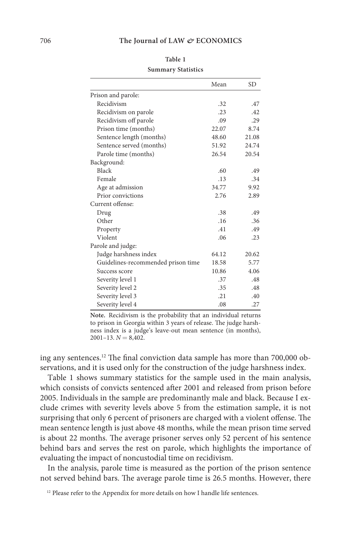|                                    | Mean  | SD    |
|------------------------------------|-------|-------|
| Prison and parole:                 |       |       |
| Recidivism                         | .32   | .47   |
| Recidivism on parole               | .23   | .42   |
| Recidivism off parole              | .09   | .29   |
| Prison time (months)               | 22.07 | 8.74  |
| Sentence length (months)           | 48.60 | 21.08 |
| Sentence served (months)           | 51.92 | 24.74 |
| Parole time (months)               | 26.54 | 20.54 |
| Background:                        |       |       |
| Black                              | .60   | .49   |
| Female                             | .13   | .34   |
| Age at admission                   | 34.77 | 9.92  |
| Prior convictions                  | 2.76  | 2.89  |
| Current offense:                   |       |       |
| Drug                               | .38   | .49   |
| Other                              | .16   | .36   |
| Property                           | .41   | .49   |
| Violent                            | .06   | .23   |
| Parole and judge:                  |       |       |
| Judge harshness index              | 64.12 | 20.62 |
| Guidelines-recommended prison time | 18.58 | 5.77  |
| Success score                      | 10.86 | 4.06  |
| Severity level 1                   | .37   | .48   |
| Severity level 2                   | .35   | .48   |
| Severity level 3                   | .21   | .40   |
| Severity level 4                   | .08   | .27   |

**Table 1 Summary Statistics** 

**Note.** Recidivism is the probability that an individual returns to prison in Georgia within 3 years of release. The judge harshness index is a judge's leave-out mean sentence (in months),  $2001-13$ ,  $N = 8,402$ .

ing any sentences.12 The final conviction data sample has more than 700,000 observations, and it is used only for the construction of the judge harshness index.

Table 1 shows summary statistics for the sample used in the main analysis, which consists of convicts sentenced after 2001 and released from prison before 2005. Individuals in the sample are predominantly male and black. Because I exclude crimes with severity levels above 5 from the estimation sample, it is not surprising that only 6 percent of prisoners are charged with a violent offense. The mean sentence length is just above 48 months, while the mean prison time served is about 22 months. The average prisoner serves only 52 percent of his sentence behind bars and serves the rest on parole, which highlights the importance of evaluating the impact of noncustodial time on recidivism.

In the analysis, parole time is measured as the portion of the prison sentence not served behind bars. The average parole time is 26.5 months. However, there

<sup>&</sup>lt;sup>12</sup> Please refer to the Appendix for more details on how I handle life sentences.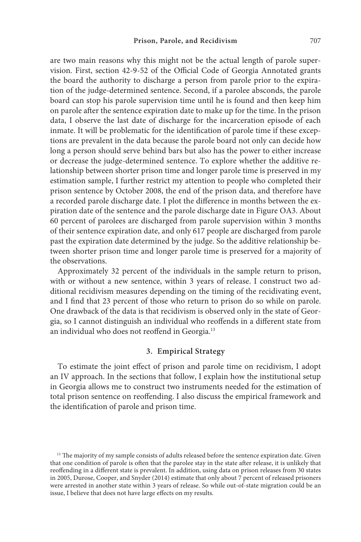are two main reasons why this might not be the actual length of parole supervision. First, section 42-9-52 of the Official Code of Georgia Annotated grants the board the authority to discharge a person from parole prior to the expiration of the judge-determined sentence. Second, if a parolee absconds, the parole board can stop his parole supervision time until he is found and then keep him on parole after the sentence expiration date to make up for the time. In the prison data, I observe the last date of discharge for the incarceration episode of each inmate. It will be problematic for the identification of parole time if these exceptions are prevalent in the data because the parole board not only can decide how long a person should serve behind bars but also has the power to either increase or decrease the judge-determined sentence. To explore whether the additive relationship between shorter prison time and longer parole time is preserved in my estimation sample, I further restrict my attention to people who completed their prison sentence by October 2008, the end of the prison data, and therefore have a recorded parole discharge date. I plot the difference in months between the expiration date of the sentence and the parole discharge date in Figure OA3. About 60 percent of parolees are discharged from parole supervision within 3 months of their sentence expiration date, and only 617 people are discharged from parole past the expiration date determined by the judge. So the additive relationship between shorter prison time and longer parole time is preserved for a majority of the observations.

Approximately 32 percent of the individuals in the sample return to prison, with or without a new sentence, within 3 years of release. I construct two additional recidivism measures depending on the timing of the recidivating event, and I find that 23 percent of those who return to prison do so while on parole. One drawback of the data is that recidivism is observed only in the state of Georgia, so I cannot distinguish an individual who reoffends in a different state from an individual who does not reoffend in Georgia.<sup>13</sup>

# **3. Empirical Strategy**

To estimate the joint effect of prison and parole time on recidivism, I adopt an IV approach. In the sections that follow, I explain how the institutional setup in Georgia allows me to construct two instruments needed for the estimation of total prison sentence on reoffending. I also discuss the empirical framework and the identification of parole and prison time.

<sup>&</sup>lt;sup>13</sup> The majority of my sample consists of adults released before the sentence expiration date. Given that one condition of parole is often that the parolee stay in the state after release, it is unlikely that reoffending in a different state is prevalent. In addition, using data on prison releases from 30 states in 2005, Durose, Cooper, and Snyder (2014) estimate that only about 7 percent of released prisoners were arrested in another state within 3 years of release. So while out-of-state migration could be an issue, I believe that does not have large effects on my results.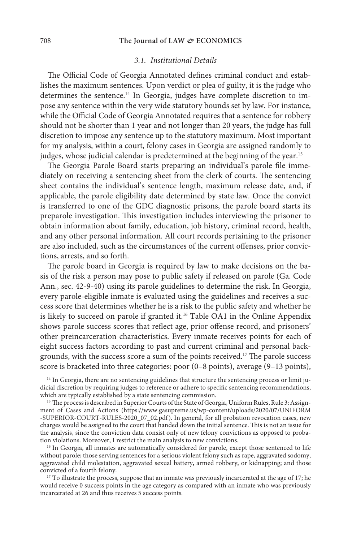### 708 The Journal of LAW  $\mathcal{O}$ **ECONOMICS**

#### *3.1. Institutional Details*

The Official Code of Georgia Annotated defines criminal conduct and establishes the maximum sentences. Upon verdict or plea of guilty, it is the judge who determines the sentence.<sup>14</sup> In Georgia, judges have complete discretion to impose any sentence within the very wide statutory bounds set by law. For instance, while the Official Code of Georgia Annotated requires that a sentence for robbery should not be shorter than 1 year and not longer than 20 years, the judge has full discretion to impose any sentence up to the statutory maximum. Most important for my analysis, within a court, felony cases in Georgia are assigned randomly to judges, whose judicial calendar is predetermined at the beginning of the year.<sup>15</sup>

The Georgia Parole Board starts preparing an individual's parole file immediately on receiving a sentencing sheet from the clerk of courts. The sentencing sheet contains the individual's sentence length, maximum release date, and, if applicable, the parole eligibility date determined by state law. Once the convict is transferred to one of the GDC diagnostic prisons, the parole board starts its preparole investigation. This investigation includes interviewing the prisoner to obtain information about family, education, job history, criminal record, health, and any other personal information. All court records pertaining to the prisoner are also included, such as the circumstances of the current offenses, prior convictions, arrests, and so forth.

The parole board in Georgia is required by law to make decisions on the basis of the risk a person may pose to public safety if released on parole (Ga. Code Ann., sec. 42-9-40) using its parole guidelines to determine the risk. In Georgia, every parole-eligible inmate is evaluated using the guidelines and receives a success score that determines whether he is a risk to the public safety and whether he is likely to succeed on parole if granted it.<sup>16</sup> Table OA1 in the Online Appendix shows parole success scores that reflect age, prior offense record, and prisoners' other preincarceration characteristics. Every inmate receives points for each of eight success factors according to past and current criminal and personal backgrounds, with the success score a sum of the points received.<sup>17</sup> The parole success score is bracketed into three categories: poor (0–8 points), average (9–13 points),

<sup>14</sup> In Georgia, there are no sentencing guidelines that structure the sentencing process or limit judicial discretion by requiring judges to reference or adhere to specific sentencing recommendations, which are typically established by a state sentencing commission.

<sup>15</sup> The process is described in Superior Courts of the State of Georgia, Uniform Rules, Rule 3: Assignment of Cases and Actions (https://www.gasupreme.us/wp-content/uploads/2020/07/UNIFORM -SUPERIOR-COURT-RULES-2020\_07\_02.pdf). In general, for all probation revocation cases, new charges would be assigned to the court that handed down the initial sentence. This is not an issue for the analysis, since the conviction data consist only of new felony convictions as opposed to probation violations. Moreover, I restrict the main analysis to new convictions.

<sup>16</sup> In Georgia, all inmates are automatically considered for parole, except those sentenced to life without parole; those serving sentences for a serious violent felony such as rape, aggravated sodomy, aggravated child molestation, aggravated sexual battery, armed robbery, or kidnapping; and those convicted of a fourth felony.

<sup>17</sup> To illustrate the process, suppose that an inmate was previously incarcerated at the age of 17; he would receive 0 success points in the age category as compared with an inmate who was previously incarcerated at 26 and thus receives 5 success points.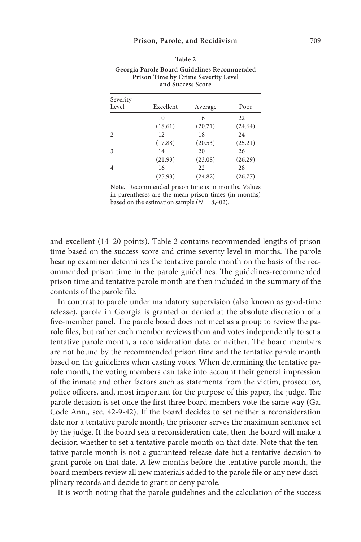| Severity<br>Level | Excellent | Average | Poor    |  |  |  |
|-------------------|-----------|---------|---------|--|--|--|
| 1                 | 10        | 16      | 22      |  |  |  |
|                   | (18.61)   | (20.71) | (24.64) |  |  |  |
| $\overline{c}$    | 12        | 18      | 24      |  |  |  |
|                   | (17.88)   | (20.53) | (25.21) |  |  |  |
| 3                 | 14        | 20      | 26      |  |  |  |
|                   | (21.93)   | (23.08) | (26.29) |  |  |  |
| $\overline{4}$    | 16        | 22      | 28      |  |  |  |
|                   | (25.93)   | (24.82) | (26.77) |  |  |  |

| Table 2                                     |
|---------------------------------------------|
| Georgia Parole Board Guidelines Recommended |
| Prison Time by Crime Severity Level         |
| and Success Score                           |

**Note.** Recommended prison time is in months. Values in parentheses are the mean prison times (in months) based on the estimation sample  $(N = 8,402)$ .

and excellent (14–20 points). Table 2 contains recommended lengths of prison time based on the success score and crime severity level in months. The parole hearing examiner determines the tentative parole month on the basis of the recommended prison time in the parole guidelines. The guidelines-recommended prison time and tentative parole month are then included in the summary of the contents of the parole file.

In contrast to parole under mandatory supervision (also known as good-time release), parole in Georgia is granted or denied at the absolute discretion of a five-member panel. The parole board does not meet as a group to review the parole files, but rather each member reviews them and votes independently to set a tentative parole month, a reconsideration date, or neither. The board members are not bound by the recommended prison time and the tentative parole month based on the guidelines when casting votes. When determining the tentative parole month, the voting members can take into account their general impression of the inmate and other factors such as statements from the victim, prosecutor, police officers, and, most important for the purpose of this paper, the judge. The parole decision is set once the first three board members vote the same way (Ga. Code Ann., sec. 42-9-42). If the board decides to set neither a reconsideration date nor a tentative parole month, the prisoner serves the maximum sentence set by the judge. If the board sets a reconsideration date, then the board will make a decision whether to set a tentative parole month on that date. Note that the tentative parole month is not a guaranteed release date but a tentative decision to grant parole on that date. A few months before the tentative parole month, the board members review all new materials added to the parole file or any new disciplinary records and decide to grant or deny parole.

It is worth noting that the parole guidelines and the calculation of the success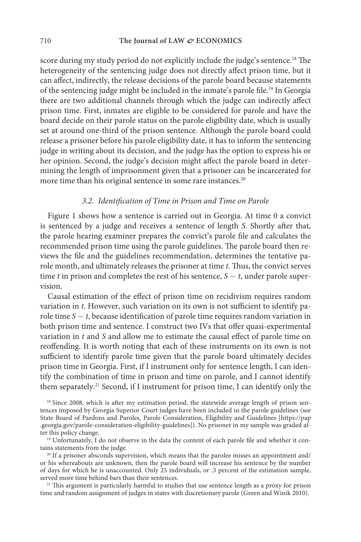score during my study period do not explicitly include the judge's sentence.18 The heterogeneity of the sentencing judge does not directly affect prison time, but it can affect, indirectly, the release decisions of the parole board because statements of the sentencing judge might be included in the inmate's parole file.19 In Georgia there are two additional channels through which the judge can indirectly affect prison time. First, inmates are eligible to be considered for parole and have the board decide on their parole status on the parole eligibility date, which is usually set at around one-third of the prison sentence. Although the parole board could release a prisoner before his parole eligibility date, it has to inform the sentencing judge in writing about its decision, and the judge has the option to express his or her opinion. Second, the judge's decision might affect the parole board in determining the length of imprisonment given that a prisoner can be incarcerated for more time than his original sentence in some rare instances.<sup>20</sup>

#### *3.2. Identification of Time in Prison and Time on Parole*

Figure 1 shows how a sentence is carried out in Georgia. At time 0 a convict is sentenced by a judge and receives a sentence of length *S*. Shortly after that, the parole hearing examiner prepares the convict's parole file and calculates the recommended prison time using the parole guidelines. The parole board then reviews the file and the guidelines recommendation, determines the tentative parole month, and ultimately releases the prisoner at time *t*. Thus, the convict serves time *t* in prison and completes the rest of his sentence,  $S - t$ , under parole supervision.

Causal estimation of the effect of prison time on recidivism requires random variation in *t*. However, such variation on its own is not sufficient to identify parole time *S − t*, because identification of parole time requires random variation in both prison time and sentence. I construct two IVs that offer quasi-experimental variation in *t* and *S* and allow me to estimate the causal effect of parole time on reoffending. It is worth noting that each of these instruments on its own is not sufficient to identify parole time given that the parole board ultimately decides prison time in Georgia. First, if I instrument only for sentence length, I can identify the combination of time in prison and time on parole, and I cannot identify them separately.21 Second, if I instrument for prison time, I can identify only the

<sup>&</sup>lt;sup>18</sup> Since 2008, which is after my estimation period, the statewide average length of prison sentences imposed by Georgia Superior Court judges have been included in the parole guidelines (see State Board of Pardons and Paroles, Parole Consideration, Eligibility and Guidelines [https://pap .georgia.gov/parole-consideration-eligibility-guidelines]). No prisoner in my sample was graded after this policy change.

<sup>&</sup>lt;sup>19</sup> Unfortunately, I do not observe in the data the content of each parole file and whether it contains statements from the judge.

<sup>&</sup>lt;sup>20</sup> If a prisoner absconds supervision, which means that the parolee misses an appointment and/ or his whereabouts are unknown, then the parole board will increase his sentence by the number of days for which he is unaccounted. Only 25 individuals, or .3 percent of the estimation sample, served more time behind bars than their sentences.

<sup>&</sup>lt;sup>21</sup> This argument is particularly harmful to studies that use sentence length as a proxy for prison time and random assignment of judges in states with discretionary parole (Green and Winik 2010).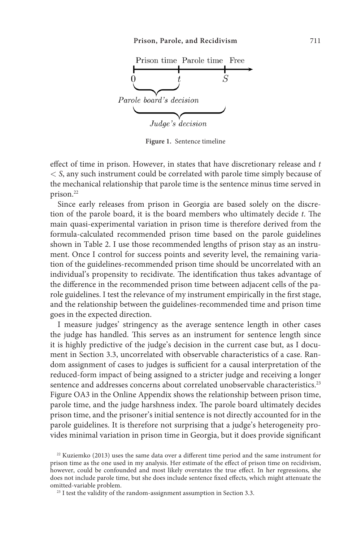

**Figure 1.** Sentence timeline

effect of time in prison. However, in states that have discretionary release and *t < S*, any such instrument could be correlated with parole time simply because of the mechanical relationship that parole time is the sentence minus time served in prison.<sup>22</sup>

Since early releases from prison in Georgia are based solely on the discretion of the parole board, it is the board members who ultimately decide *t*. The main quasi-experimental variation in prison time is therefore derived from the formula-calculated recommended prison time based on the parole guidelines shown in Table 2. I use those recommended lengths of prison stay as an instrument. Once I control for success points and severity level, the remaining variation of the guidelines-recommended prison time should be uncorrelated with an individual's propensity to recidivate. The identification thus takes advantage of the difference in the recommended prison time between adjacent cells of the parole guidelines. I test the relevance of my instrument empirically in the first stage, and the relationship between the guidelines-recommended time and prison time goes in the expected direction.

I measure judges' stringency as the average sentence length in other cases the judge has handled. This serves as an instrument for sentence length since it is highly predictive of the judge's decision in the current case but, as I document in Section 3.3, uncorrelated with observable characteristics of a case. Random assignment of cases to judges is sufficient for a causal interpretation of the reduced-form impact of being assigned to a stricter judge and receiving a longer sentence and addresses concerns about correlated unobservable characteristics.<sup>23</sup> Figure OA3 in the Online Appendix shows the relationship between prison time, parole time, and the judge harshness index. The parole board ultimately decides prison time, and the prisoner's initial sentence is not directly accounted for in the parole guidelines. It is therefore not surprising that a judge's heterogeneity provides minimal variation in prison time in Georgia, but it does provide significant

 $22$  Kuziemko (2013) uses the same data over a different time period and the same instrument for prison time as the one used in my analysis. Her estimate of the effect of prison time on recidivism, however, could be confounded and most likely overstates the true effect. In her regressions, she does not include parole time, but she does include sentence fixed effects, which might attenuate the omitted-variable problem.

 $23$  I test the validity of the random-assignment assumption in Section 3.3.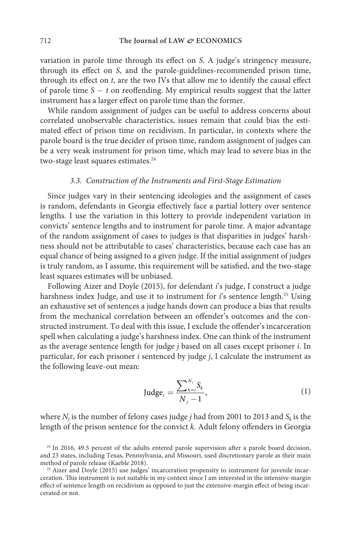variation in parole time through its effect on *S*. A judge's stringency measure, through its effect on *S*, and the parole-guidelines-recommended prison time, through its effect on *t*, are the two IVs that allow me to identify the causal effect of parole time *S − t* on reoffending. My empirical results suggest that the latter instrument has a larger effect on parole time than the former.

While random assignment of judges can be useful to address concerns about correlated unobservable characteristics, issues remain that could bias the estimated effect of prison time on recidivism. In particular, in contexts where the parole board is the true decider of prison time, random assignment of judges can be a very weak instrument for prison time, which may lead to severe bias in the two-stage least squares estimates.<sup>24</sup>

#### *3.3. Construction of the Instruments and First-Stage Estimation*

Since judges vary in their sentencing ideologies and the assignment of cases is random, defendants in Georgia effectively face a partial lottery over sentence lengths. I use the variation in this lottery to provide independent variation in convicts' sentence lengths and to instrument for parole time. A major advantage of the random assignment of cases to judges is that disparities in judges' harshness should not be attributable to cases' characteristics, because each case has an equal chance of being assigned to a given judge. If the initial assignment of judges is truly random, as I assume, this requirement will be satisfied, and the two-stage least squares estimates will be unbiased.

Following Aizer and Doyle (2015), for defendant *i*'s judge, I construct a judge harshness index Judge<sub>i</sub> and use it to instrument for *i*'s sentence length.<sup>25</sup> Using an exhaustive set of sentences a judge hands down can produce a bias that results from the mechanical correlation between an offender's outcomes and the constructed instrument. To deal with this issue, I exclude the offender's incarceration spell when calculating a judge's harshness index. One can think of the instrument as the average sentence length for judge *j* based on all cases except prisoner *i*. In particular, for each prisoner *i* sentenced by judge *j*, I calculate the instrument as the following leave-out mean:

$$
\text{Judge}_i = \frac{\sum_{k=i}^{N_j} S_k}{N_j - 1},\tag{1}
$$

where  $N_j$  is the number of felony cases judge  $j$  had from 2001 to 2013 and  $S_k$  is the length of the prison sentence for the convict *k*. Adult felony offenders in Georgia

<sup>&</sup>lt;sup>24</sup> In 2016, 49.5 percent of the adults entered parole supervision after a parole board decision, and 23 states, including Texas, Pennsylvania, and Missouri, used discretionary parole as their main method of parole release (Kaeble 2018).

<sup>&</sup>lt;sup>25</sup> Aizer and Doyle (2015) use judges' incarceration propensity to instrument for juvenile incarceration. This instrument is not suitable in my context since I am interested in the intensive-margin effect of sentence length on recidivism as opposed to just the extensive-margin effect of being incarcerated or not.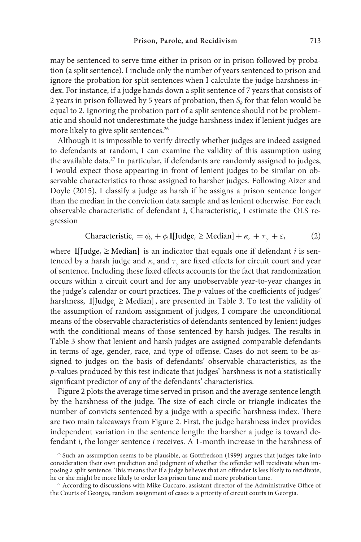may be sentenced to serve time either in prison or in prison followed by probation (a split sentence). I include only the number of years sentenced to prison and ignore the probation for split sentences when I calculate the judge harshness index. For instance, if a judge hands down a split sentence of 7 years that consists of 2 years in prison followed by 5 years of probation, then  $S_k$  for that felon would be equal to 2. Ignoring the probation part of a split sentence should not be problematic and should not underestimate the judge harshness index if lenient judges are more likely to give split sentences.<sup>26</sup>

Although it is impossible to verify directly whether judges are indeed assigned to defendants at random, I can examine the validity of this assumption using the available data.<sup>27</sup> In particular, if defendants are randomly assigned to judges, I would expect those appearing in front of lenient judges to be similar on observable characteristics to those assigned to harsher judges. Following Aizer and Doyle (2015), I classify a judge as harsh if he assigns a prison sentence longer than the median in the conviction data sample and as lenient otherwise. For each observable characteristic of defendant *i*, Characteristic*<sup>i</sup>* , I estimate the OLS regression

$$
\text{Characteristic}_{i} = \phi_{0} + \phi_{1} \mathbb{I}[\text{Judge}_{i} \geq \text{Median}] + \kappa_{c} + \tau_{y} + \varepsilon,
$$
 (2)

where  $\mathbb{I}[\text{Judge}_{i} \geq \text{Median}]$  is an indicator that equals one if defendant *i* is sentenced by a harsh judge and  $\kappa_c$  and  $\tau_v$  are fixed effects for circuit court and year of sentence. Including these fixed effects accounts for the fact that randomization occurs within a circuit court and for any unobservable year-to-year changes in the judge's calendar or court practices. The *p*-values of the coefficients of judges' harshness,  $\mathbb{I}[\text{Judge}_{i} \geq \text{Median}]$ , are presented in Table 3. To test the validity of the assumption of random assignment of judges, I compare the unconditional means of the observable characteristics of defendants sentenced by lenient judges with the conditional means of those sentenced by harsh judges. The results in Table 3 show that lenient and harsh judges are assigned comparable defendants in terms of age, gender, race, and type of offense. Cases do not seem to be assigned to judges on the basis of defendants' observable characteristics, as the *p*-values produced by this test indicate that judges' harshness is not a statistically significant predictor of any of the defendants' characteristics.

Figure 2 plots the average time served in prison and the average sentence length by the harshness of the judge. The size of each circle or triangle indicates the number of convicts sentenced by a judge with a specific harshness index. There are two main takeaways from Figure 2. First, the judge harshness index provides independent variation in the sentence length: the harsher a judge is toward defendant *i*, the longer sentence *i* receives. A 1-month increase in the harshness of

<sup>&</sup>lt;sup>26</sup> Such an assumption seems to be plausible, as Gottfredson (1999) argues that judges take into consideration their own prediction and judgment of whether the offender will recidivate when imposing a split sentence. This means that if a judge believes that an offender is less likely to recidivate, he or she might be more likely to order less prison time and more probation time.

<sup>&</sup>lt;sup>27</sup> According to discussions with Mike Cuccaro, assistant director of the Administrative Office of the Courts of Georgia, random assignment of cases is a priority of circuit courts in Georgia.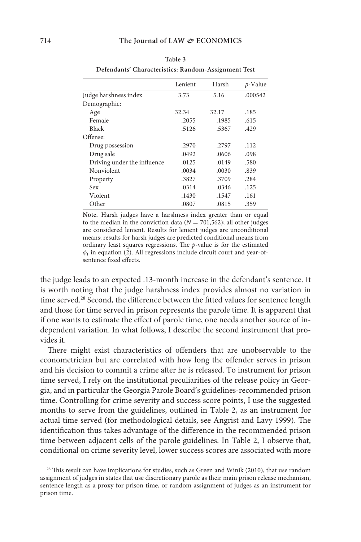**Table 3 Defendants' Characteristics: Random-Assignment Test**

|                             | Lenient | Harsh | $p$ -Value |
|-----------------------------|---------|-------|------------|
| Judge harshness index       | 3.73    | 5.16  | .000542    |
| Demographic:                |         |       |            |
| Age                         | 32.34   | 32.17 | .185       |
| Female                      | .2055   | .1985 | .615       |
| <b>Black</b>                | .5126   | .5367 | .429       |
| Offense:                    |         |       |            |
| Drug possession             | .2970   | .2797 | .112       |
| Drug sale                   | .0492   | .0606 | .098       |
| Driving under the influence | .0125   | .0149 | .580       |
| Nonviolent                  | .0034   | .0030 | .839       |
| Property                    | .3827   | .3709 | .284       |
| Sex                         | .0314   | .0346 | .125       |
| Violent                     | .1430   | .1547 | .161       |
| Other                       | .0807   | .0815 | .359       |

**Note.** Harsh judges have a harshness index greater than or equal to the median in the conviction data ( $N = 701,562$ ); all other judges are considered lenient. Results for lenient judges are unconditional means; results for harsh judges are predicted conditional means from ordinary least squares regressions. The *p*-value is for the estimated  $\phi_1$  in equation (2). All regressions include circuit court and year-ofsentence fixed effects.

the judge leads to an expected .13-month increase in the defendant's sentence. It is worth noting that the judge harshness index provides almost no variation in time served.<sup>28</sup> Second, the difference between the fitted values for sentence length and those for time served in prison represents the parole time. It is apparent that if one wants to estimate the effect of parole time, one needs another source of independent variation. In what follows, I describe the second instrument that provides it.

There might exist characteristics of offenders that are unobservable to the econometrician but are correlated with how long the offender serves in prison and his decision to commit a crime after he is released. To instrument for prison time served, I rely on the institutional peculiarities of the release policy in Georgia, and in particular the Georgia Parole Board's guidelines-recommended prison time. Controlling for crime severity and success score points, I use the suggested months to serve from the guidelines, outlined in Table 2, as an instrument for actual time served (for methodological details, see Angrist and Lavy 1999). The identification thus takes advantage of the difference in the recommended prison time between adjacent cells of the parole guidelines. In Table 2, I observe that, conditional on crime severity level, lower success scores are associated with more

<sup>28</sup> This result can have implications for studies, such as Green and Winik (2010), that use random assignment of judges in states that use discretionary parole as their main prison release mechanism, sentence length as a proxy for prison time, or random assignment of judges as an instrument for prison time.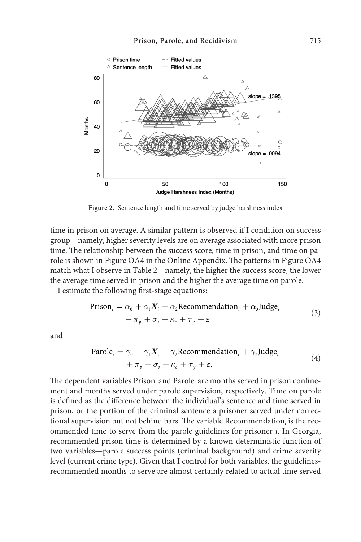

**Figure 2.** Sentence length and time served by judge harshness index

time in prison on average. A similar pattern is observed if I condition on success group—namely, higher severity levels are on average associated with more prison time. The relationship between the success score, time in prison, and time on parole is shown in Figure OA4 in the Online Appendix. The patterns in Figure OA4 match what I observe in Table 2—namely, the higher the success score, the lower the average time served in prison and the higher the average time on parole.

I estimate the following first-stage equations:

$$
\begin{aligned} \text{Prison}_i &= \alpha_0 + \alpha_1 \mathbf{X}_i + \alpha_2 \text{Recommendation}_i + \alpha_3 \text{Judge}_i \\ &+ \pi_p + \sigma_s + \kappa_c + \tau_y + \varepsilon \end{aligned} \tag{3}
$$

and

$$
\begin{aligned} \text{Parole}_{i} &= \gamma_{0} + \gamma_{1} \mathbf{X}_{i} + \gamma_{2} \text{Recommendation}_{i} + \gamma_{3} \text{Judge}_{i} \\ &+ \pi_{p} + \sigma_{s} + \kappa_{c} + \tau_{y} + \varepsilon. \end{aligned} \tag{4}
$$

The dependent variables Prison<sub>i</sub> and Parole<sub>i</sub> are months served in prison confinement and months served under parole supervision, respectively. Time on parole is defined as the difference between the individual's sentence and time served in prison, or the portion of the criminal sentence a prisoner served under correctional supervision but not behind bars. The variable Recommendation<sub>i</sub> is the recommended time to serve from the parole guidelines for prisoner *i*. In Georgia, recommended prison time is determined by a known deterministic function of two variables—parole success points (criminal background) and crime severity level (current crime type). Given that I control for both variables, the guidelinesrecommended months to serve are almost certainly related to actual time served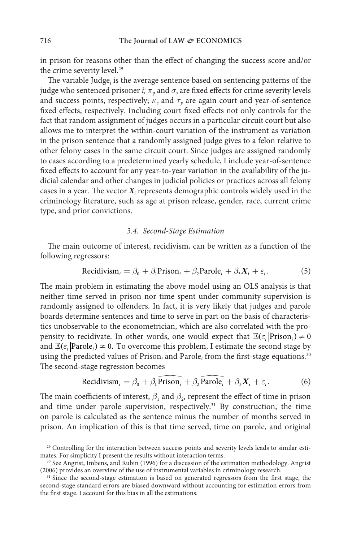in prison for reasons other than the effect of changing the success score and/or the crime severity level.<sup>29</sup>

The variable Judge<sub>i</sub> is the average sentence based on sentencing patterns of the judge who sentenced prisoner *i*;  $\pi_{p}$  and  $\sigma_{s}$  are fixed effects for crime severity levels and success points, respectively;  $\kappa_c$  and  $\tau_v$  are again court and year-of-sentence fixed effects, respectively. Including court fixed effects not only controls for the fact that random assignment of judges occurs in a particular circuit court but also allows me to interpret the within-court variation of the instrument as variation in the prison sentence that a randomly assigned judge gives to a felon relative to other felony cases in the same circuit court. Since judges are assigned randomly to cases according to a predetermined yearly schedule, I include year-of-sentence fixed effects to account for any year-to-year variation in the availability of the judicial calendar and other changes in judicial policies or practices across all felony cases in a year. The vector  $X_i$  represents demographic controls widely used in the criminology literature, such as age at prison release, gender, race, current crime type, and prior convictions.

#### *3.4. Second-Stage Estimation*

The main outcome of interest, recidivism, can be written as a function of the following regressors:

Recidivism<sub>i</sub> = 
$$
\beta_0 + \beta_1
$$
Prison<sub>i</sub> +  $\beta_2$ Parole<sub>i</sub> +  $\beta_3 X_i + \varepsilon_i$ . (5)

The main problem in estimating the above model using an OLS analysis is that neither time served in prison nor time spent under community supervision is randomly assigned to offenders. In fact, it is very likely that judges and parole boards determine sentences and time to serve in part on the basis of characteristics unobservable to the econometrician, which are also correlated with the propensity to recidivate. In other words, one would expect that  $\mathbb{E}(\varepsilon_i | \text{Prison}_i) \neq 0$ and  $\mathbb{E}(\varepsilon_i | \text{Parole}_i) \neq 0$ . To overcome this problem, I estimate the second stage by using the predicted values of Prison<sub>i</sub> and Parole<sub>i</sub> from the first-stage equations.<sup>30</sup> The second-stage regression becomes

Recidivism<sub>i</sub> = 
$$
\beta_0 + \beta_1 \widehat{\text{Prison}_i} + \beta_2 \widehat{\text{Parole}_i} + \beta_3 X_i + \varepsilon_i.
$$
 (6)

The main coefficients of interest,  $\beta_1$  and  $\beta_2$ , represent the effect of time in prison and time under parole supervision, respectively.<sup>31</sup> By construction, the time on parole is calculated as the sentence minus the number of months served in prison. An implication of this is that time served, time on parole, and original

<sup>&</sup>lt;sup>29</sup> Controlling for the interaction between success points and severity levels leads to similar estimates. For simplicity I present the results without interaction terms.

<sup>&</sup>lt;sup>30</sup> See Angrist, Imbens, and Rubin (1996) for a discussion of the estimation methodology. Angrist (2006) provides an overview of the use of instrumental variables in criminology research.

<sup>&</sup>lt;sup>31</sup> Since the second-stage estimation is based on generated regressors from the first stage, the second-stage standard errors are biased downward without accounting for estimation errors from the first stage. I account for this bias in all the estimations.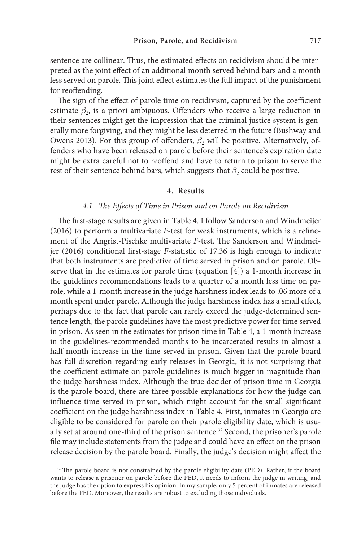sentence are collinear. Thus, the estimated effects on recidivism should be interpreted as the joint effect of an additional month served behind bars and a month less served on parole. This joint effect estimates the full impact of the punishment for reoffending.

The sign of the effect of parole time on recidivism, captured by the coefficient estimate  $\beta_2$ , is a priori ambiguous. Offenders who receive a large reduction in their sentences might get the impression that the criminal justice system is generally more forgiving, and they might be less deterred in the future (Bushway and Owens 2013). For this group of offenders, *β*<sub>2</sub> will be positive. Alternatively, offenders who have been released on parole before their sentence's expiration date might be extra careful not to reoffend and have to return to prison to serve the rest of their sentence behind bars, which suggests that  $\beta_2$  could be positive.

#### **4. Results**

#### *4.1. The Effects of Time in Prison and on Parole on Recidivism*

The first-stage results are given in Table 4. I follow Sanderson and Windmeijer (2016) to perform a multivariate *F*-test for weak instruments, which is a refinement of the Angrist-Pischke multivariate *F*-test. The Sanderson and Windmeijer (2016) conditional first-stage *F*-statistic of 17.36 is high enough to indicate that both instruments are predictive of time served in prison and on parole. Observe that in the estimates for parole time (equation [4]) a 1-month increase in the guidelines recommendations leads to a quarter of a month less time on parole, while a 1-month increase in the judge harshness index leads to .06 more of a month spent under parole. Although the judge harshness index has a small effect, perhaps due to the fact that parole can rarely exceed the judge-determined sentence length, the parole guidelines have the most predictive power for time served in prison. As seen in the estimates for prison time in Table 4, a 1-month increase in the guidelines-recommended months to be incarcerated results in almost a half-month increase in the time served in prison. Given that the parole board has full discretion regarding early releases in Georgia, it is not surprising that the coefficient estimate on parole guidelines is much bigger in magnitude than the judge harshness index. Although the true decider of prison time in Georgia is the parole board, there are three possible explanations for how the judge can influence time served in prison, which might account for the small significant coefficient on the judge harshness index in Table 4. First, inmates in Georgia are eligible to be considered for parole on their parole eligibility date, which is usually set at around one-third of the prison sentence.<sup>32</sup> Second, the prisoner's parole file may include statements from the judge and could have an effect on the prison release decision by the parole board. Finally, the judge's decision might affect the

<sup>&</sup>lt;sup>32</sup> The parole board is not constrained by the parole eligibility date (PED). Rather, if the board wants to release a prisoner on parole before the PED, it needs to inform the judge in writing, and the judge has the option to express his opinion. In my sample, only 5 percent of inmates are released before the PED. Moreover, the results are robust to excluding those individuals.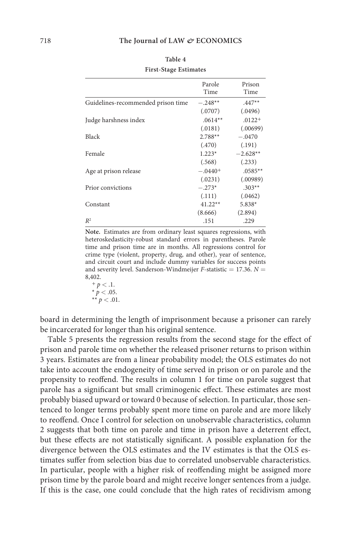|                                    | Parole<br>Time | Prison<br>Time |
|------------------------------------|----------------|----------------|
| Guidelines-recommended prison time | $-.248**$      | $.447**$       |
|                                    | (.0707)        | (.0496)        |
| Judge harshness index              | $.0614**$      | $.0122+$       |
|                                    | (.0181)        | (.00699)       |
| Black                              | $2.788**$      | $-.0470$       |
|                                    | (.470)         | (.191)         |
| Female                             | $1.223*$       | $-2.628**$     |
|                                    | (.568)         | (.233)         |
| Age at prison release              | $-.0440+$      | $.0585**$      |
|                                    | (.0231)        | (.00989)       |
| Prior convictions                  | $-.273*$       | $.303**$       |
|                                    | (.111)         | (.0462)        |
| Constant                           | $41.22**$      | $5.838*$       |
|                                    | (8.666)        | (2.894)        |
| $R^2$                              | .151           | .229           |

**Note.** Estimates are from ordinary least squares regressions, with heteroskedasticity-robust standard errors in parentheses. Parole time and prison time are in months. All regressions control for crime type (violent, property, drug, and other), year of sentence, and circuit court and include dummy variables for success points and severity level. Sanderson-Windmeijer *F*-statistic *=* 17.36. *N =* 8,402.

 $+ p < .1.$  $* p < .05.$  $**$   $p < .01$ .

board in determining the length of imprisonment because a prisoner can rarely be incarcerated for longer than his original sentence.

Table 5 presents the regression results from the second stage for the effect of prison and parole time on whether the released prisoner returns to prison within 3 years. Estimates are from a linear probability model; the OLS estimates do not take into account the endogeneity of time served in prison or on parole and the propensity to reoffend. The results in column 1 for time on parole suggest that parole has a significant but small criminogenic effect. These estimates are most probably biased upward or toward 0 because of selection. In particular, those sentenced to longer terms probably spent more time on parole and are more likely to reoffend. Once I control for selection on unobservable characteristics, column 2 suggests that both time on parole and time in prison have a deterrent effect, but these effects are not statistically significant. A possible explanation for the divergence between the OLS estimates and the IV estimates is that the OLS estimates suffer from selection bias due to correlated unobservable characteristics. In particular, people with a higher risk of reoffending might be assigned more prison time by the parole board and might receive longer sentences from a judge. If this is the case, one could conclude that the high rates of recidivism among

**Table 4 First-Stage Estimates**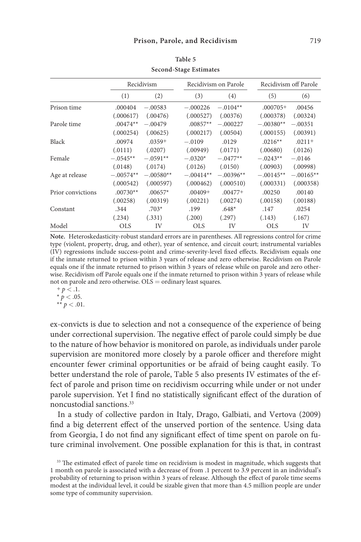|                   | Recidivism  |             | Recidivism on Parole |             | Recidivism off Parole |             |
|-------------------|-------------|-------------|----------------------|-------------|-----------------------|-------------|
|                   | (1)         | (2)         | (3)                  | (4)         | (5)                   | (6)         |
| Prison time       | .000404     | $-.00583$   | $-.000226$           | $-.0104**$  | $.000705+$            | .00456      |
|                   | (.000617)   | (.00476)    | (.000527)            | (.00376)    | (.000378)             | (.00324)    |
| Parole time       | $.00474**$  | $-.00479$   | $.00857**$           | $-.000227$  | $-.00380**$           | $-.00351$   |
|                   | (.000254)   | (.00625)    | (.000217)            | (.00504)    | (.000155)             | (.00391)    |
| Black             | .00974      | $.0359+$    | $-.0109$             | .0129       | $.0216**$             | $.0211+$    |
|                   | (.0111)     | (.0207)     | (.00949)             | (.0171)     | (.00680)              | (.0126)     |
| Female            | $-.0545**$  | $-.0591**$  | $-.0320*$            | $-.0477**$  | $-.0243**$            | $-.0146$    |
|                   | (.0148)     | (.0174)     | (.0126)              | (.0150)     | (.00903)              | (.00998)    |
| Age at release    | $-.00574**$ | $-.00580**$ | $-.00414**$          | $-.00396**$ | $-.00145**$           | $-.00165**$ |
|                   | (.000542)   | (.000597)   | (.000462)            | (.000510)   | (.000331)             | (.000358)   |
| Prior convictions | $.00730**$  | $.00657*$   | $.00409+$            | $.00477+$   | .00250                | .00140      |
|                   | (.00258)    | (.00319)    | (.00221)             | (.00274)    | (.00158)              | (.00188)    |
| Constant          | .344        | $.703*$     | .199                 | $.648*$     | .147                  | .0254       |
|                   | (.234)      | (.331)      | (.200)               | (.297)      | (.143)                | (.167)      |
| Model             | <b>OLS</b>  | IV          | <b>OLS</b>           | IV          | <b>OLS</b>            | IV          |

**Table 5 Second-Stage Estimates**

**Note.** Heteroskedasticity-robust standard errors are in parentheses. All regressions control for crime type (violent, property, drug, and other), year of sentence, and circuit court; instrumental variables (IV) regressions include success-point and crime-severity-level fixed effects. Recidivism equals one if the inmate returned to prison within 3 years of release and zero otherwise. Recidivism on Parole equals one if the inmate returned to prison within 3 years of release while on parole and zero otherwise. Recidivism off Parole equals one if the inmate returned to prison within 3 years of release while not on parole and zero otherwise. OLS *=* ordinary least squares.

 $+ p < .1.$  $* p < .05.$  $^{\ast\ast}$   $p<.01.$ 

ex-convicts is due to selection and not a consequence of the experience of being under correctional supervision. The negative effect of parole could simply be due to the nature of how behavior is monitored on parole, as individuals under parole supervision are monitored more closely by a parole officer and therefore might encounter fewer criminal opportunities or be afraid of being caught easily. To better understand the role of parole, Table 5 also presents IV estimates of the effect of parole and prison time on recidivism occurring while under or not under parole supervision. Yet I find no statistically significant effect of the duration of noncustodial sanctions.33

In a study of collective pardon in Italy, Drago, Galbiati, and Vertova (2009) find a big deterrent effect of the unserved portion of the sentence. Using data from Georgia, I do not find any significant effect of time spent on parole on future criminal involvement. One possible explanation for this is that, in contrast

<sup>&</sup>lt;sup>33</sup> The estimated effect of parole time on recidivism is modest in magnitude, which suggests that 1 month on parole is associated with a decrease of from .1 percent to 3.9 percent in an individual's probability of returning to prison within 3 years of release. Although the effect of parole time seems modest at the individual level, it could be sizable given that more than 4.5 million people are under some type of community supervision.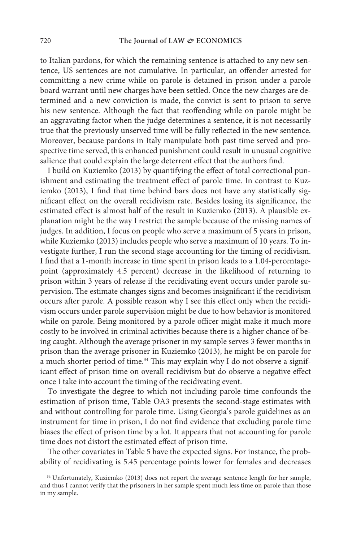to Italian pardons, for which the remaining sentence is attached to any new sentence, US sentences are not cumulative. In particular, an offender arrested for committing a new crime while on parole is detained in prison under a parole board warrant until new charges have been settled. Once the new charges are determined and a new conviction is made, the convict is sent to prison to serve his new sentence. Although the fact that reoffending while on parole might be an aggravating factor when the judge determines a sentence, it is not necessarily true that the previously unserved time will be fully reflected in the new sentence. Moreover, because pardons in Italy manipulate both past time served and prospective time served, this enhanced punishment could result in unusual cognitive salience that could explain the large deterrent effect that the authors find.

I build on Kuziemko (2013) by quantifying the effect of total correctional punishment and estimating the treatment effect of parole time. In contrast to Kuziemko (2013), I find that time behind bars does not have any statistically significant effect on the overall recidivism rate. Besides losing its significance, the estimated effect is almost half of the result in Kuziemko (2013). A plausible explanation might be the way I restrict the sample because of the missing names of judges. In addition, I focus on people who serve a maximum of 5 years in prison, while Kuziemko (2013) includes people who serve a maximum of 10 years. To investigate further, I run the second stage accounting for the timing of recidivism. I find that a 1-month increase in time spent in prison leads to a 1.04-percentagepoint (approximately 4.5 percent) decrease in the likelihood of returning to prison within 3 years of release if the recidivating event occurs under parole supervision. The estimate changes signs and becomes insignificant if the recidivism occurs after parole. A possible reason why I see this effect only when the recidivism occurs under parole supervision might be due to how behavior is monitored while on parole. Being monitored by a parole officer might make it much more costly to be involved in criminal activities because there is a higher chance of being caught. Although the average prisoner in my sample serves 3 fewer months in prison than the average prisoner in Kuziemko (2013), he might be on parole for a much shorter period of time.<sup>34</sup> This may explain why I do not observe a significant effect of prison time on overall recidivism but do observe a negative effect once I take into account the timing of the recidivating event.

To investigate the degree to which not including parole time confounds the estimation of prison time, Table OA3 presents the second-stage estimates with and without controlling for parole time. Using Georgia's parole guidelines as an instrument for time in prison, I do not find evidence that excluding parole time biases the effect of prison time by a lot. It appears that not accounting for parole time does not distort the estimated effect of prison time.

The other covariates in Table 5 have the expected signs. For instance, the probability of recidivating is 5.45 percentage points lower for females and decreases

<sup>&</sup>lt;sup>34</sup> Unfortunately, Kuziemko (2013) does not report the average sentence length for her sample, and thus I cannot verify that the prisoners in her sample spent much less time on parole than those in my sample.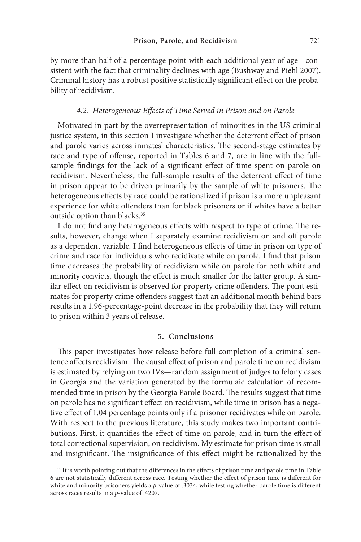by more than half of a percentage point with each additional year of age—consistent with the fact that criminality declines with age (Bushway and Piehl 2007). Criminal history has a robust positive statistically significant effect on the probability of recidivism.

### *4.2. Heterogeneous Effects of Time Served in Prison and on Parole*

Motivated in part by the overrepresentation of minorities in the US criminal justice system, in this section I investigate whether the deterrent effect of prison and parole varies across inmates' characteristics. The second-stage estimates by race and type of offense, reported in Tables 6 and 7, are in line with the fullsample findings for the lack of a significant effect of time spent on parole on recidivism. Nevertheless, the full-sample results of the deterrent effect of time in prison appear to be driven primarily by the sample of white prisoners. The heterogeneous effects by race could be rationalized if prison is a more unpleasant experience for white offenders than for black prisoners or if whites have a better outside option than blacks.<sup>35</sup>

I do not find any heterogeneous effects with respect to type of crime. The results, however, change when I separately examine recidivism on and off parole as a dependent variable. I find heterogeneous effects of time in prison on type of crime and race for individuals who recidivate while on parole. I find that prison time decreases the probability of recidivism while on parole for both white and minority convicts, though the effect is much smaller for the latter group. A similar effect on recidivism is observed for property crime offenders. The point estimates for property crime offenders suggest that an additional month behind bars results in a 1.96-percentage-point decrease in the probability that they will return to prison within 3 years of release.

#### **5. Conclusions**

This paper investigates how release before full completion of a criminal sentence affects recidivism. The causal effect of prison and parole time on recidivism is estimated by relying on two IVs—random assignment of judges to felony cases in Georgia and the variation generated by the formulaic calculation of recommended time in prison by the Georgia Parole Board. The results suggest that time on parole has no significant effect on recidivism, while time in prison has a negative effect of 1.04 percentage points only if a prisoner recidivates while on parole. With respect to the previous literature, this study makes two important contributions. First, it quantifies the effect of time on parole, and in turn the effect of total correctional supervision, on recidivism. My estimate for prison time is small and insignificant. The insignificance of this effect might be rationalized by the

<sup>&</sup>lt;sup>35</sup> It is worth pointing out that the differences in the effects of prison time and parole time in Table 6 are not statistically different across race. Testing whether the effect of prison time is different for white and minority prisoners yields a *p*-value of .3034, while testing whether parole time is different across races results in a *p*-value of .4207.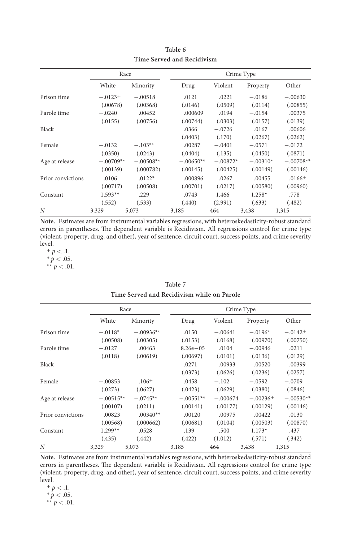|                   |             | Race        | Crime Type  |            |            |             |
|-------------------|-------------|-------------|-------------|------------|------------|-------------|
|                   | White       | Minority    | Drug        | Violent    | Property   | Other       |
| Prison time       | $-.0123+$   | $-.00518$   | .0121       | .0221      | $-.0186$   | $-.00630$   |
|                   | (.00678)    | (.00368)    | (.0146)     | (.0509)    | (.0114)    | (.00855)    |
| Parole time       | $-.0240$    | .00452      | .000609     | .0194      | $-.0154$   | .00375      |
|                   | (.0155)     | (.00756)    | (.00744)    | (.0303)    | (.0157)    | (.0139)     |
| Black             |             |             | .0366       | $-.0726$   | .0167      | .00606      |
|                   |             |             | (.0403)     | (.170)     | (.0267)    | (.0262)     |
| Female            | $-.0132$    | $-.103**$   | .00287      | $-.0401$   | $-.0571$   | $-.0172$    |
|                   | (.0350)     | (.0243)     | (.0404)     | (.135)     | (.0450)    | (.0871)     |
| Age at release    | $-.00709**$ | $-.00508**$ | $-.00650**$ | $-.00872*$ | $-.00310*$ | $-.00708**$ |
|                   | (.00139)    | (.000782)   | (.00145)    | (.00425)   | (.00149)   | (.00146)    |
| Prior convictions | .0106       | $.0122*$    | .000896     | .0267      | .00455     | $.0166+$    |
|                   | (.00717)    | (.00508)    | (.00701)    | (.0217)    | (.00580)   | (.00960)    |
| Constant          | $1.593**$   | $-.229$     | .0743       | $-1.466$   | $1.258*$   | .778        |
|                   | (.552)      | (.533)      | (.440)      | (2.991)    | (.633)     | (.482)      |
| N                 | 3,329       | 5,073       | 3,185       | 464        | 3,438      | 1,315       |

**Table 6 Time Served and Recidivism**

**Note.** Estimates are from instrumental variables regressions, with heteroskedasticity-robust standard errors in parentheses. The dependent variable is Recidivism. All regressions control for crime type (violent, property, drug, and other), year of sentence, circuit court, success points, and crime severity level.

 $+ p < .1.$  $*$   $\frac{r}{p}$  < .05.  $*$ <sup>*r*</sup> $p$  < .01.

|                   | Race<br>Crime Type |             |              |            |            |             |
|-------------------|--------------------|-------------|--------------|------------|------------|-------------|
|                   | White              | Minority    | Drug         | Violent    | Property   | Other       |
| Prison time       | $-.0118*$          | $-.00936**$ | .0150        | $-.00641$  | $-.0196*$  | $-.0142+$   |
|                   | (.00508)           | (.00305)    | (.0153)      | (.0168)    | (.00970)   | (.00750)    |
| Parole time       | $-.0127$           | .00463      | $8.26e - 05$ | .0104      | $-.00946$  | .0211       |
|                   | (.0118)            | (.00619)    | (.00697)     | (.0101)    | (.0136)    | (.0129)     |
| Black             |                    |             | .0271        | .00933     | .00520     | .00399      |
|                   |                    |             | (.0373)      | (.0626)    | (.0236)    | (.0257)     |
| Female            | $-.00853$          | $.106+$     | .0458        | $-.102$    | $-.0592$   | $-.0709$    |
|                   | (.0273)            | (.0627)     | (.0423)      | (.0629)    | (.0380)    | (.0846)     |
| Age at release    | $-.00515**$        | $-.0745**$  | $-.00551**$  | $-.000674$ | $-.00236+$ | $-.00530**$ |
|                   | (.00107)           | (.0211)     | (.00141)     | (.00177)   | (.00129)   | (.00146)    |
| Prior convictions | .00823             | $-.00340**$ | $-.00120$    | .00975     | .00422     | .0130       |
|                   | (.00568)           | (.000662)   | (.00681)     | (.0104)    | (.00503)   | (.00870)    |
| Constant          | $1.299**$          | $-.0528$    | .139         | $-.500$    | $1.173*$   | .437        |
|                   | (.435)             | (.442)      | (.422)       | (1.012)    | (.571)     | (.342)      |
| N                 | 3,329              | 5,073       | 3,185        | 464        | 3,438      | 1,315       |

**Table 7 Time Served and Recidivism while on Parole**

**Note.** Estimates are from instrumental variables regressions, with heteroskedasticity-robust standard errors in parentheses. The dependent variable is Recidivism. All regressions control for crime type (violent, property, drug, and other), year of sentence, circuit court, success points, and crime severity level.

 $+ p < .1.$  $*$   $p < .05$ .  $** p < .01$ .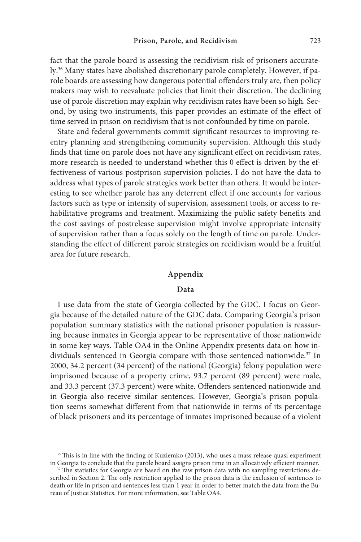fact that the parole board is assessing the recidivism risk of prisoners accurately.36 Many states have abolished discretionary parole completely. However, if parole boards are assessing how dangerous potential offenders truly are, then policy makers may wish to reevaluate policies that limit their discretion. The declining use of parole discretion may explain why recidivism rates have been so high. Second, by using two instruments, this paper provides an estimate of the effect of time served in prison on recidivism that is not confounded by time on parole.

State and federal governments commit significant resources to improving reentry planning and strengthening community supervision. Although this study finds that time on parole does not have any significant effect on recidivism rates, more research is needed to understand whether this 0 effect is driven by the effectiveness of various postprison supervision policies. I do not have the data to address what types of parole strategies work better than others. It would be interesting to see whether parole has any deterrent effect if one accounts for various factors such as type or intensity of supervision, assessment tools, or access to rehabilitative programs and treatment. Maximizing the public safety benefits and the cost savings of postrelease supervision might involve appropriate intensity of supervision rather than a focus solely on the length of time on parole. Understanding the effect of different parole strategies on recidivism would be a fruitful area for future research.

#### **Appendix**

### **Data**

I use data from the state of Georgia collected by the GDC. I focus on Georgia because of the detailed nature of the GDC data. Comparing Georgia's prison population summary statistics with the national prisoner population is reassuring because inmates in Georgia appear to be representative of those nationwide in some key ways. Table OA4 in the Online Appendix presents data on how individuals sentenced in Georgia compare with those sentenced nationwide.<sup>37</sup> In 2000, 34.2 percent (34 percent) of the national (Georgia) felony population were imprisoned because of a property crime, 93.7 percent (89 percent) were male, and 33.3 percent (37.3 percent) were white. Offenders sentenced nationwide and in Georgia also receive similar sentences. However, Georgia's prison population seems somewhat different from that nationwide in terms of its percentage of black prisoners and its percentage of inmates imprisoned because of a violent

<sup>&</sup>lt;sup>36</sup> This is in line with the finding of Kuziemko (2013), who uses a mass release quasi experiment in Georgia to conclude that the parole board assigns prison time in an allocatively efficient manner.

<sup>&</sup>lt;sup>37</sup> The statistics for Georgia are based on the raw prison data with no sampling restrictions described in Section 2. The only restriction applied to the prison data is the exclusion of sentences to death or life in prison and sentences less than 1 year in order to better match the data from the Bureau of Justice Statistics. For more information, see Table OA4.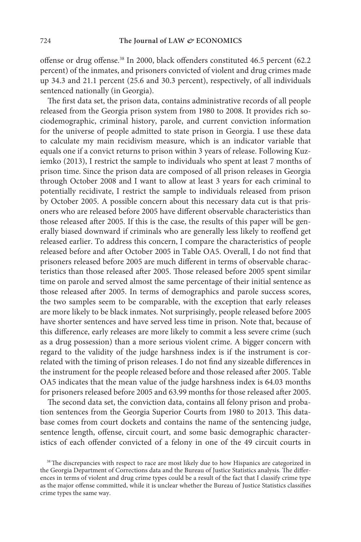offense or drug offense.38 In 2000, black offenders constituted 46.5 percent (62.2 percent) of the inmates, and prisoners convicted of violent and drug crimes made up 34.3 and 21.1 percent (25.6 and 30.3 percent), respectively, of all individuals sentenced nationally (in Georgia).

The first data set, the prison data, contains administrative records of all people released from the Georgia prison system from 1980 to 2008. It provides rich sociodemographic, criminal history, parole, and current conviction information for the universe of people admitted to state prison in Georgia. I use these data to calculate my main recidivism measure, which is an indicator variable that equals one if a convict returns to prison within 3 years of release. Following Kuziemko (2013), I restrict the sample to individuals who spent at least 7 months of prison time. Since the prison data are composed of all prison releases in Georgia through October 2008 and I want to allow at least 3 years for each criminal to potentially recidivate, I restrict the sample to individuals released from prison by October 2005. A possible concern about this necessary data cut is that prisoners who are released before 2005 have different observable characteristics than those released after 2005. If this is the case, the results of this paper will be generally biased downward if criminals who are generally less likely to reoffend get released earlier. To address this concern, I compare the characteristics of people released before and after October 2005 in Table OA5. Overall, I do not find that prisoners released before 2005 are much different in terms of observable characteristics than those released after 2005. Those released before 2005 spent similar time on parole and served almost the same percentage of their initial sentence as those released after 2005. In terms of demographics and parole success scores, the two samples seem to be comparable, with the exception that early releases are more likely to be black inmates. Not surprisingly, people released before 2005 have shorter sentences and have served less time in prison. Note that, because of this difference, early releases are more likely to commit a less severe crime (such as a drug possession) than a more serious violent crime. A bigger concern with regard to the validity of the judge harshness index is if the instrument is correlated with the timing of prison releases. I do not find any sizeable differences in the instrument for the people released before and those released after 2005. Table OA5 indicates that the mean value of the judge harshness index is 64.03 months for prisoners released before 2005 and 63.99 months for those released after 2005.

The second data set, the conviction data, contains all felony prison and probation sentences from the Georgia Superior Courts from 1980 to 2013. This database comes from court dockets and contains the name of the sentencing judge, sentence length, offense, circuit court, and some basic demographic characteristics of each offender convicted of a felony in one of the 49 circuit courts in

<sup>&</sup>lt;sup>38</sup>The discrepancies with respect to race are most likely due to how Hispanics are categorized in the Georgia Department of Corrections data and the Bureau of Justice Statistics analysis. The differences in terms of violent and drug crime types could be a result of the fact that I classify crime type as the major offense committed, while it is unclear whether the Bureau of Justice Statistics classifies crime types the same way.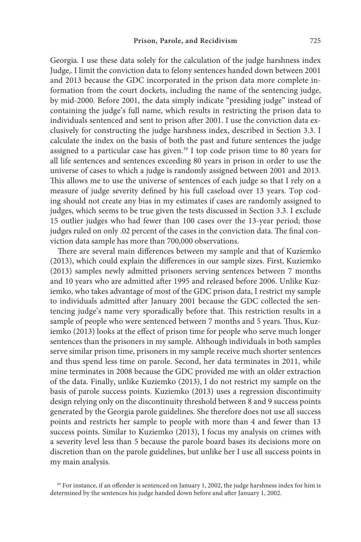Georgia. I use these data solely for the calculation of the judge harshness index Judge*<sup>i</sup>* . I limit the conviction data to felony sentences handed down between 2001 and 2013 because the GDC incorporated in the prison data more complete information from the court dockets, including the name of the sentencing judge, by mid-2000. Before 2001, the data simply indicate "presiding judge" instead of containing the judge's full name, which results in restricting the prison data to individuals sentenced and sent to prison after 2001. I use the conviction data exclusively for constructing the judge harshness index, described in Section 3.3. I calculate the index on the basis of both the past and future sentences the judge assigned to a particular case has given.39 I top code prison time to 80 years for all life sentences and sentences exceeding 80 years in prison in order to use the universe of cases to which a judge is randomly assigned between 2001 and 2013. This allows me to use the universe of sentences of each judge so that I rely on a measure of judge severity defined by his full caseload over 13 years. Top coding should not create any bias in my estimates if cases are randomly assigned to judges, which seems to be true given the tests discussed in Section 3.3. I exclude 15 outlier judges who had fewer than 100 cases over the 13-year period; those judges ruled on only .02 percent of the cases in the conviction data. The final conviction data sample has more than 700,000 observations.

There are several main differences between my sample and that of Kuziemko (2013), which could explain the differences in our sample sizes. First, Kuziemko (2013) samples newly admitted prisoners serving sentences between 7 months and 10 years who are admitted after 1995 and released before 2006. Unlike Kuziemko, who takes advantage of most of the GDC prison data, I restrict my sample to individuals admitted after January 2001 because the GDC collected the sentencing judge's name very sporadically before that. This restriction results in a sample of people who were sentenced between 7 months and 5 years. Thus, Kuziemko (2013) looks at the effect of prison time for people who serve much longer sentences than the prisoners in my sample. Although individuals in both samples serve similar prison time, prisoners in my sample receive much shorter sentences and thus spend less time on parole. Second, her data terminates in 2011, while mine terminates in 2008 because the GDC provided me with an older extraction of the data. Finally, unlike Kuziemko (2013), I do not restrict my sample on the basis of parole success points. Kuziemko (2013) uses a regression discontinuity design relying only on the discontinuity threshold between 8 and 9 success points generated by the Georgia parole guidelines. She therefore does not use all success points and restricts her sample to people with more than 4 and fewer than 13 success points. Similar to Kuziemko (2013), I focus my analysis on crimes with a severity level less than 5 because the parole board bases its decisions more on discretion than on the parole guidelines, but unlike her I use all success points in my main analysis.

<sup>&</sup>lt;sup>39</sup> For instance, if an offender is sentenced on January 1, 2002, the judge harshness index for him is determined by the sentences his judge handed down before and after January 1, 2002.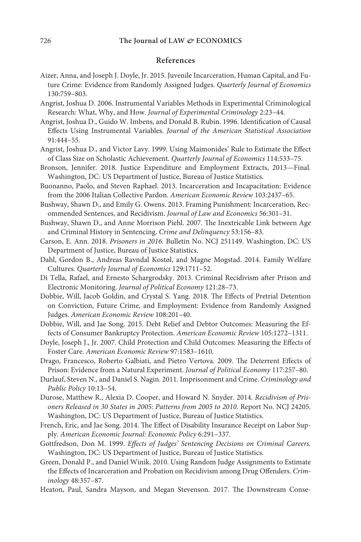### **References**

- Aizer, Anna, and Joseph J. Doyle, Jr. 2015. Juvenile Incarceration, Human Capital, and Future Crime: Evidence from Randomly Assigned Judges. *Quarterly Journal of Economics* 130:759–803.
- Angrist, Joshua D. 2006. Instrumental Variables Methods in Experimental Criminological Research: What, Why, and How. *Journal of Experimental Criminology* 2:23–44.
- Angrist, Joshua D., Guido W. Imbens, and Donald B. Rubin. 1996. Identification of Causal Effects Using Instrumental Variables. *Journal of the American Statistical Association* 91:444–55.
- Angrist, Joshua D., and Victor Lavy. 1999. Using Maimonides' Rule to Estimate the Effect of Class Size on Scholastic Achievement. *Quarterly Journal of Economics* 114:533–75.
- Bronson, Jennifer. 2018. Justice Expenditure and Employment Extracts, 2013—Final. Washington, DC: US Department of Justice, Bureau of Justice Statistics.
- Buonanno, Paolo, and Steven Raphael. 2013. Incarceration and Incapacitation: Evidence from the 2006 Italian Collective Pardon. *American Economic Review* 103:2437–65.
- Bushway, Shawn D., and Emily G. Owens. 2013. Framing Punishment: Incarceration, Recommended Sentences, and Recidivism. *Journal of Law and Economics* 56:301–31.
- Bushway, Shawn D., and Anne Morrison Piehl. 2007. The Inextricable Link between Age and Criminal History in Sentencing. *Crime and Delinquency* 53:156–83.
- Carson, E. Ann. 2018. *Prisoners in 2016.* Bulletin No. NCJ 251149. Washington, DC: US Department of Justice, Bureau of Justice Statistics.
- Dahl, Gordon B., Andreas Ravndal Kostøl, and Magne Mogstad. 2014. Family Welfare Cultures. *Quarterly Journal of Economics* 129:1711–52.
- Di Tella, Rafael, and Ernesto Schargrodsky. 2013. Criminal Recidivism after Prison and Electronic Monitoring. *Journal of Political Economy* 121:28–73.
- Dobbie, Will, Jacob Goldin, and Crystal S. Yang. 2018. The Effects of Pretrial Detention on Conviction, Future Crime, and Employment: Evidence from Randomly Assigned Judges. *American Economic Review* 108:201–40.
- Dobbie, Will, and Jae Song. 2015. Debt Relief and Debtor Outcomes: Measuring the Effects of Consumer Bankruptcy Protection. *American Economic Review* 105:1272–1311.
- Doyle, Joseph J., Jr. 2007. Child Protection and Child Outcomes: Measuring the Effects of Foster Care. *American Economic Review* 97:1583–1610.
- Drago, Francesco, Roberto Galbiati, and Pietro Vertova. 2009. The Deterrent Effects of Prison: Evidence from a Natural Experiment. *Journal of Political Economy* 117:257–80.
- Durlauf, Steven N., and Daniel S. Nagin. 2011. Imprisonment and Crime. *Criminology and Public Policy* 10:13–54.
- Durose, Matthew R., Alexia D. Cooper, and Howard N. Snyder. 2014. *Recidivism of Prisoners Released in 30 States in 2005: Patterns from 2005 to 2010.* Report No. NCJ 24205. Washington, DC: US Department of Justice, Bureau of Justice Statistics.
- French, Eric, and Jae Song. 2014. The Effect of Disability Insurance Receipt on Labor Supply. *American Economic Journal: Economic Policy* 6:291–337.
- Gottfredson, Don M. 1999. *Effects of Judges' Sentencing Decisions on Criminal Careers.* Washington, DC: US Department of Justice, Bureau of Justice Statistics.
- Green, Donald P., and Daniel Winik. 2010. Using Random Judge Assignments to Estimate the Effects of Incarceration and Probation on Recidivism among Drug Offenders. *Criminology* 48:357–87.
- Heaton, Paul, Sandra Mayson, and Megan Stevenson. 2017. The Downstream Conse-